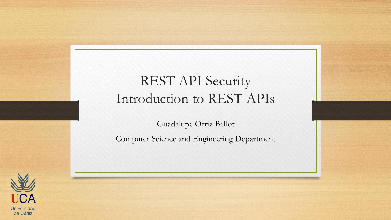#### REST API Security Introduction to REST APIs

Guadalupe Ortiz Bellot

Computer Science and Engineering Department

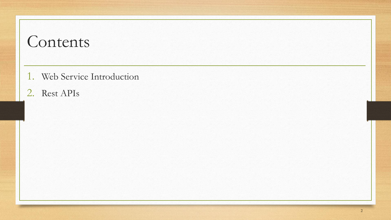#### Contents

- 1. Web Service Introduction
- 2. Rest APIs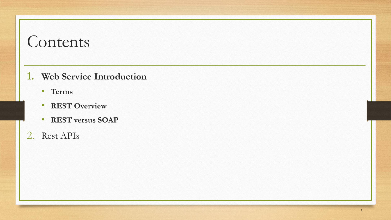#### Contents

#### **1. Web Service Introduction**

- **Terms**
- **REST Overview**
- **REST versus SOAP**
- 2. Rest APIs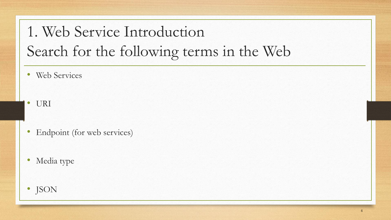# 1. Web Service Introduction Search for the following terms in the Web

- Web Services
- URI
- Endpoint (for web services)
- Media type
- JSON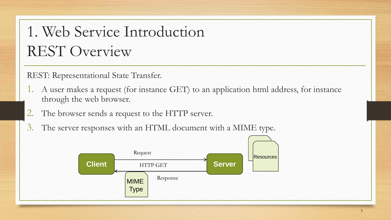## 1. Web Service Introduction REST Overview

REST: Representational State Transfer.

- 1. A user makes a request (for instance GET) to an application html address, for instance through the web browser.
- 2. The browser sends a request to the HTTP server.
- 3. The server responses with an HTML document with a MIME type.

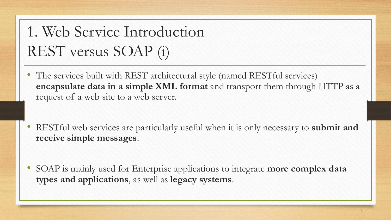# 1. Web Service Introduction REST versus SOAP (i)

- The services built with REST architectural style (named RESTful services) **encapsulate data in a simple XML format** and transport them through HTTP as a request of a web site to a web server.
- RESTful web services are particularly useful when it is only necessary to **submit and receive simple messages**.
- SOAP is mainly used for Enterprise applications to integrate **more complex data types and applications**, as well as **legacy systems**.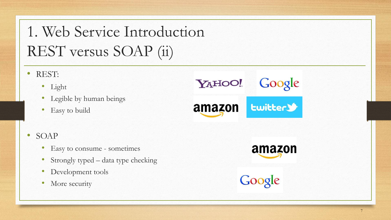# 1. Web Service Introduction REST versus SOAP (ii)

- REST:
	- Light
	- Legible by human beings
	- Easy to build
- SOAP
	- Easy to consume sometimes
	- Strongly typed data type checking
	- Development tools
	- More security

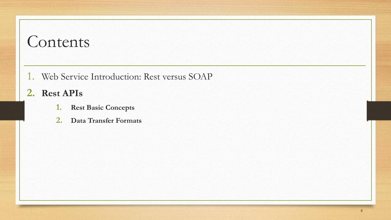#### Contents

- 1. Web Service Introduction: Rest versus SOAP
- **2. Rest APIs**
	- **1. Rest Basic Concepts**
	- **2. Data Transfer Formats**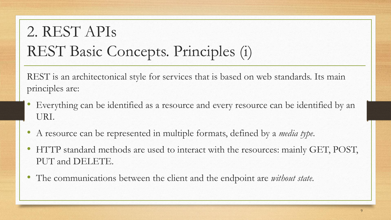# 2. REST APIs REST Basic Concepts. Principles (i)

REST is an architectonical style for services that is based on web standards. Its main principles are:

- Everything can be identified as a resource and every resource can be identified by an URI.
- A resource can be represented in multiple formats, defined by a *media type*.
- HTTP standard methods are used to interact with the resources: mainly GET, POST, PUT and DELETE.
- The communications between the client and the endpoint are *without state*.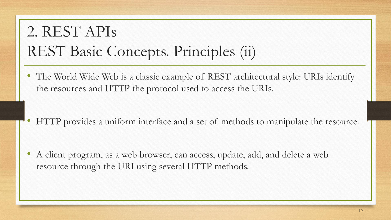## 2. REST APIs REST Basic Concepts. Principles (ii)

• The World Wide Web is a classic example of REST architectural style: URIs identify the resources and HTTP the protocol used to access the URIs.

• HTTP provides a uniform interface and a set of methods to manipulate the resource.

• A client program, as a web browser, can access, update, add, and delete a web resource through the URI using several HTTP methods.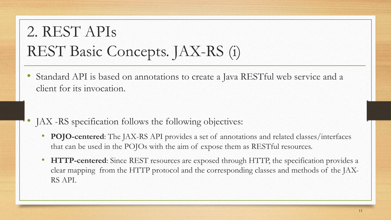## 2. REST APIs REST Basic Concepts. JAX-RS (i)

• Standard API is based on annotations to create a Java RESTful web service and a client for its invocation.

- JAX -RS specification follows the following objectives:
	- **POJO-centered**: The JAX-RS API provides a set of annotations and related classes/interfaces that can be used in the POJOs with the aim of expose them as RESTful resources.
	- **HTTP-centered**: Since REST resources are exposed through HTTP, the specification provides a clear mapping from the HTTP protocol and the corresponding classes and methods of the JAX-RS API.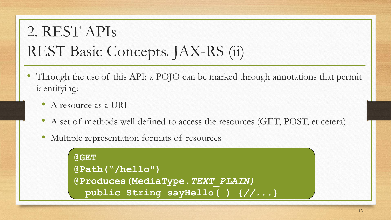# 2. REST APIs REST Basic Concepts. JAX-RS (ii)

- Through the use of this API: a POJO can be marked through annotations that permit identifying:
	- A resource as a URI
	- A set of methods well defined to access the resources (GET, POST, et cetera)
	- Multiple representation formats of resources

```
@GET
@Path("/hello")
@Produces(MediaType.TEXT_PLAIN)
 public String sayHello( ) {//...}
```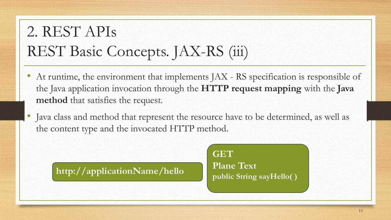## 2. REST APIs REST Basic Concepts. JAX-RS (iii)

- At runtime, the environment that implements JAX RS specification is responsible of the Java application invocation through the **HTTP request mapping** with the **Java method** that satisfies the request.
- Java class and method that represent the resource have to be determined, as well as the content type and the invocated HTTP method.

**http://applicationName/hello**

**GET Plane Text public String sayHello( )**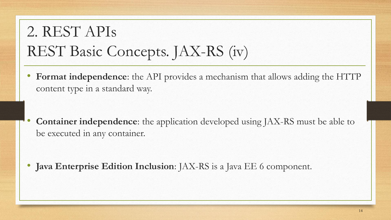## 2. REST APIs REST Basic Concepts. JAX-RS (iv)

• **Format independence**: the API provides a mechanism that allows adding the HTTP content type in a standard way.

• **Container independence**: the application developed using JAX-RS must be able to be executed in any container.

• **Java Enterprise Edition Inclusion**: JAX-RS is a Java EE 6 component.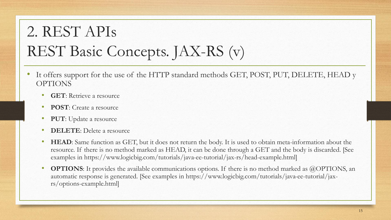# 2. REST APIs REST Basic Concepts. JAX-RS (v)

- It offers support for the use of the HTTP standard methods GET, POST, PUT, DELETE, HEAD y OPTIONS
	- **GET**: Retrieve a resource
	- **POST**: Create a resource
	- **PUT**: Update a resource
	- **DELETE**: Delete a resource
	- **HEAD**: Same function as GET, but it does not return the body. It is used to obtain meta-information about the resource. If there is no method marked as HEAD, it can be done through a GET and the body is discarded. [See examples in https://www.logicbig.com/tutorials/java-ee-tutorial/jax-rs/head-example.html]
	- **OPTIONS:** It provides the available communications options. If there is no method marked as @OPTIONS, an automatic response is generated. [See examples in https://www.logicbig.com/tutorials/java-ee-tutorial/jaxrs/options-example.html]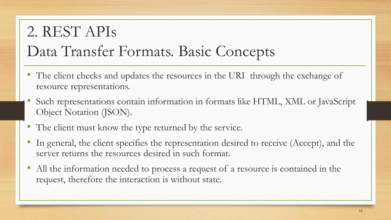#### 2. REST APIs Data Transfer Formats. Basic Concepts

- The client checks and updates the resources in the URI through the exchange of resource representations.
- Such representations contain information in formats like HTML, XML or JavaScript Object Notation (JSON).
- The client must know the type returned by the service.
- In general, the client specifies the representation desired to receive (Accept), and the server returns the resources desired in such format.
- All the information needed to process a request of a resource is contained in the request, therefore the interaction is without state.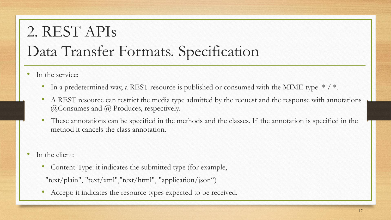## 2. REST APIs Data Transfer Formats. Specification

- In the service:
	- In a predetermined way, a REST resource is published or consumed with the MIME type  $*/$ .
	- A REST resource can restrict the media type admitted by the request and the response with annotations @Consumes and @ Produces, respectively.
	- These annotations can be specified in the methods and the classes. If the annotation is specified in the method it cancels the class annotation.
- In the client:
	- Content-Type: it indicates the submitted type (for example,
	- "text/plain", "text/xml","text/html", "application/json")
	- Accept: it indicates the resource types expected to be received.